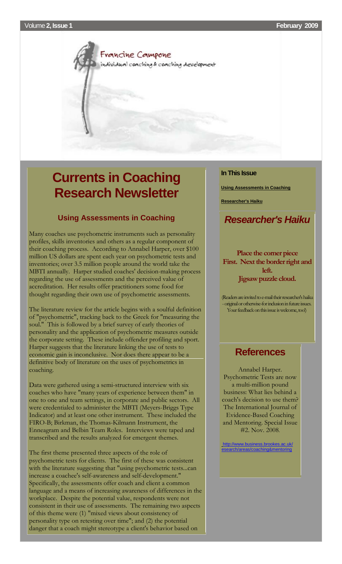<span id="page-0-1"></span>Francine Campone individual coaching & coaching development

# <span id="page-0-0"></span>**Currents in Coaching Research Newsletter**

### **Using Assessments in Coaching**

Many coaches use psychometric instruments such as personality profiles, skills inventories and others as a regular component of their coaching process. According to Annabel Harper, over \$100 million US dollars are spent each year on psychometric tests and inventories; over 3.5 million people around the world take the MBTI annually. Harper studied coaches' decision-making process regarding the use of assessments and the perceived value of accreditation. Her results offer practitioners some food for thought regarding their own use of psychometric assessments.

The literature review for the article begins with a soulful definition of "psychometric", tracking back to the Greek for "measuring the soul." This is followed by a brief survey of early theories of personality and the application of psychometric measures outside the corporate setting. These include offender profiling and sport. Harper suggests that the literature linking the use of tests to economic gain is inconclusive. Nor does there appear to be a definitive body of literature on the uses of psychometrics in coaching.

Data were gathered using a semi-structured interview with six coaches who have "many years of experience between them" in one to one and team settings, in corporate and public sectors. All were credentialed to administer the MBTI (Meyers-Briggs Type Indicator) and at least one other instrument. These included the FIRO-B; Birkman, the Thomas-Kilmann Instrument, the Enneagram and Belbin Team Roles. Interviews were taped and transcribed and the results analyzed for emergent themes.

The first theme presented three aspects of the role of psychometric tests for clients. The first of these was consistent with the literature suggesting that "using psychometric tests...can increase a coachee's self-awareness and self-development." Specifically, the assessments offer coach and client a common language and a means of increasing awareness of differences in the workplace. Despite the potential value, respondents were not consistent in their use of assessments. The remaining two aspects of this theme were (1) "mixed views about consistency of personality type on retesting over time"; and (2) the potential danger that a coach might stereotype a client's behavior based on

### **In This Issue**

**[Using Assessments in Coaching](#page-0-0)**

**[Researcher's Haiku](#page-0-1)**

# *Researcher's Haiku*

**Place the corner piece First. Next the border right and left. Jigsaw puzzle cloud.**

(Readers are invited to e-mail their researcher's haiku -original or otherwise-for inclusion in future issues. Your feedback on this issue is welcome, too!)

# **References**

Annabel Harper. Psychometric Tests are now a multi-million pound business: What lies behind a coach's decision to use them? The International Journal of Evidence-Based Coaching and Mentoring. Special Issue #2. Nov. 2008.

[http://www.business.brookes.ac.uk/](http://rs6.net/tn.jsp?t=hap55xcab.0.0.qo998scab.0&ts=S0394&p=http%3A%2F%2Fwww.business.brookes.ac.uk%2F&id=preview) areas/coaching&mentoring